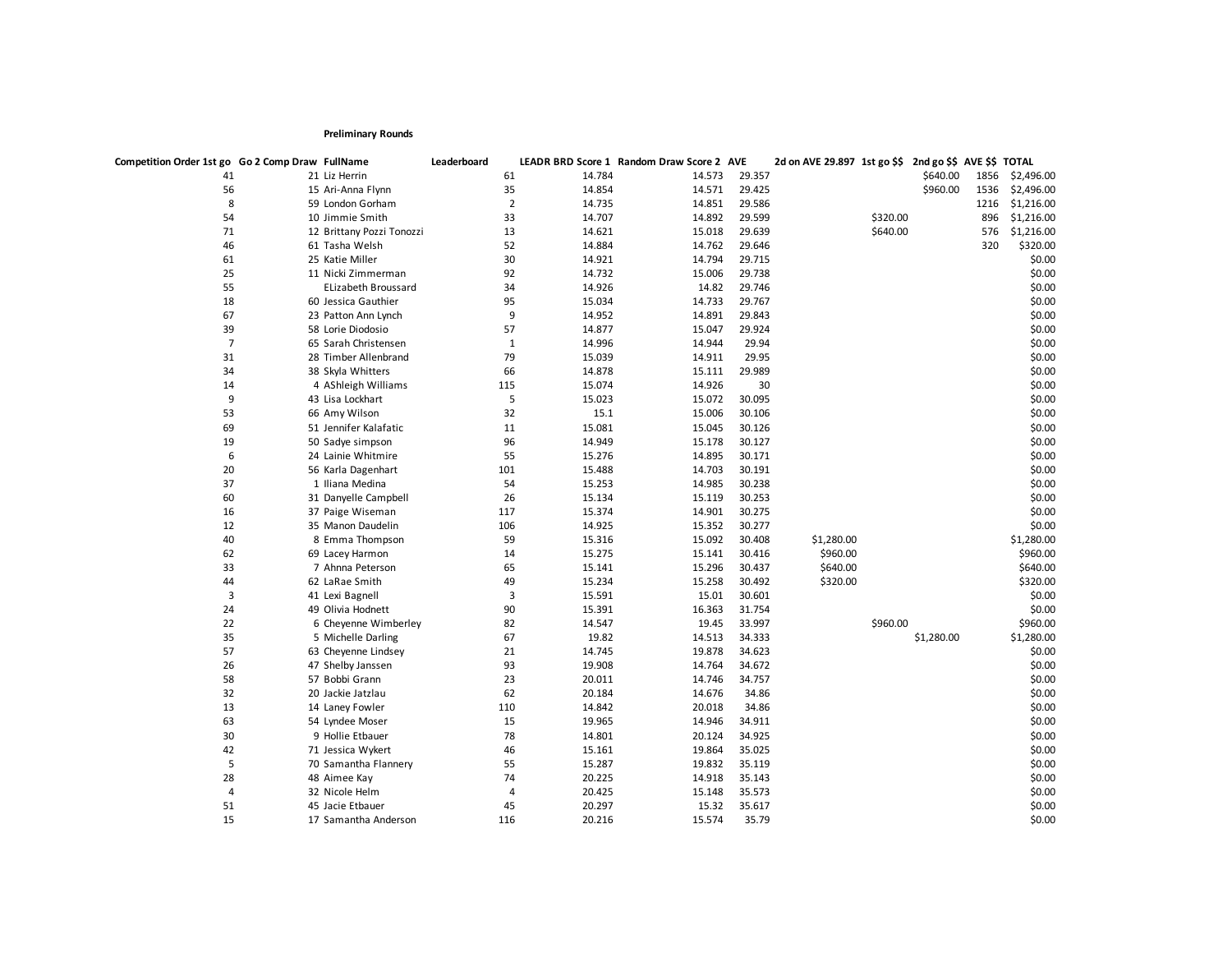## **Preliminary Rounds**

| 41<br>61<br>14.784<br>29.357<br>\$640.00<br>1856<br>21 Liz Herrin<br>14.573<br>35<br>14.854<br>14.571<br>29.425<br>\$960.00<br>56<br>15 Ari-Anna Flynn<br>1536<br>8<br>$\overline{2}$<br>14.735<br>14.851<br>29.586<br>59 London Gorham<br>1216<br>54<br>10 Jimmie Smith<br>33<br>14.707<br>14.892<br>29.599<br>\$320.00<br>896<br>71<br>13<br>14.621<br>15.018<br>29.639<br>\$640.00<br>12 Brittany Pozzi Tonozzi<br>576<br>46<br>52<br>14.884<br>14.762<br>29.646<br>320<br>61 Tasha Welsh<br>61<br>30<br>14.794<br>29.715<br>25 Katie Miller<br>14.921<br>25<br>92<br>14.732<br>15.006<br>29.738<br>11 Nicki Zimmerman<br>55<br>34<br>14.926<br>14.82<br>29.746<br><b>ELizabeth Broussard</b><br>18<br>95<br>15.034<br>14.733<br>29.767<br>60 Jessica Gauthier<br>67<br>9<br>14.952<br>14.891<br>29.843<br>23 Patton Ann Lynch<br>39<br>58 Lorie Diodosio<br>57<br>14.877<br>29.924<br>15.047<br>$\overline{7}$<br>$\mathbf{1}$<br>14.996<br>29.94<br>65 Sarah Christensen<br>14.944<br>79<br>31<br>15.039<br>29.95<br>28 Timber Allenbrand<br>14.911<br>34<br>66<br>14.878<br>29.989<br>38 Skyla Whitters<br>15.111<br>14<br>115<br>15.074<br>14.926<br>30<br>4 AShleigh Williams<br>9<br>5<br>15.023<br>15.072<br>30.095<br>43 Lisa Lockhart<br>53<br>32<br>15.1<br>66 Amy Wilson<br>15.006<br>30.106<br>69<br>51 Jennifer Kalafatic<br>11<br>15.081<br>15.045<br>30.126<br>19<br>96<br>14.949<br>30.127<br>15.178<br>50 Sadye simpson<br>6<br>55<br>15.276<br>14.895<br>30.171<br>24 Lainie Whitmire<br>20<br>56 Karla Dagenhart<br>101<br>15.488<br>14.703<br>30.191<br>37<br>1 Iliana Medina<br>54<br>15.253<br>14.985<br>30.238<br>60<br>26<br>15.134<br>30.253<br>31 Danyelle Campbell<br>15.119<br>15.374<br>30.275<br>16<br>37 Paige Wiseman<br>117<br>14.901<br>14.925<br>30.277<br>12<br>35 Manon Daudelin<br>106<br>15.352<br>40<br>59<br>15.316<br>15.092<br>30.408<br>\$1,280.00<br>8 Emma Thompson |  |  |  |  |  |            |
|----------------------------------------------------------------------------------------------------------------------------------------------------------------------------------------------------------------------------------------------------------------------------------------------------------------------------------------------------------------------------------------------------------------------------------------------------------------------------------------------------------------------------------------------------------------------------------------------------------------------------------------------------------------------------------------------------------------------------------------------------------------------------------------------------------------------------------------------------------------------------------------------------------------------------------------------------------------------------------------------------------------------------------------------------------------------------------------------------------------------------------------------------------------------------------------------------------------------------------------------------------------------------------------------------------------------------------------------------------------------------------------------------------------------------------------------------------------------------------------------------------------------------------------------------------------------------------------------------------------------------------------------------------------------------------------------------------------------------------------------------------------------------------------------------------------------------------------------------------------------------------------------------------------------|--|--|--|--|--|------------|
|                                                                                                                                                                                                                                                                                                                                                                                                                                                                                                                                                                                                                                                                                                                                                                                                                                                                                                                                                                                                                                                                                                                                                                                                                                                                                                                                                                                                                                                                                                                                                                                                                                                                                                                                                                                                                                                                                                                      |  |  |  |  |  | \$2,496.00 |
|                                                                                                                                                                                                                                                                                                                                                                                                                                                                                                                                                                                                                                                                                                                                                                                                                                                                                                                                                                                                                                                                                                                                                                                                                                                                                                                                                                                                                                                                                                                                                                                                                                                                                                                                                                                                                                                                                                                      |  |  |  |  |  | \$2,496.00 |
|                                                                                                                                                                                                                                                                                                                                                                                                                                                                                                                                                                                                                                                                                                                                                                                                                                                                                                                                                                                                                                                                                                                                                                                                                                                                                                                                                                                                                                                                                                                                                                                                                                                                                                                                                                                                                                                                                                                      |  |  |  |  |  | \$1,216.00 |
|                                                                                                                                                                                                                                                                                                                                                                                                                                                                                                                                                                                                                                                                                                                                                                                                                                                                                                                                                                                                                                                                                                                                                                                                                                                                                                                                                                                                                                                                                                                                                                                                                                                                                                                                                                                                                                                                                                                      |  |  |  |  |  | \$1,216.00 |
|                                                                                                                                                                                                                                                                                                                                                                                                                                                                                                                                                                                                                                                                                                                                                                                                                                                                                                                                                                                                                                                                                                                                                                                                                                                                                                                                                                                                                                                                                                                                                                                                                                                                                                                                                                                                                                                                                                                      |  |  |  |  |  | \$1,216.00 |
|                                                                                                                                                                                                                                                                                                                                                                                                                                                                                                                                                                                                                                                                                                                                                                                                                                                                                                                                                                                                                                                                                                                                                                                                                                                                                                                                                                                                                                                                                                                                                                                                                                                                                                                                                                                                                                                                                                                      |  |  |  |  |  | \$320.00   |
|                                                                                                                                                                                                                                                                                                                                                                                                                                                                                                                                                                                                                                                                                                                                                                                                                                                                                                                                                                                                                                                                                                                                                                                                                                                                                                                                                                                                                                                                                                                                                                                                                                                                                                                                                                                                                                                                                                                      |  |  |  |  |  | \$0.00     |
|                                                                                                                                                                                                                                                                                                                                                                                                                                                                                                                                                                                                                                                                                                                                                                                                                                                                                                                                                                                                                                                                                                                                                                                                                                                                                                                                                                                                                                                                                                                                                                                                                                                                                                                                                                                                                                                                                                                      |  |  |  |  |  | \$0.00     |
|                                                                                                                                                                                                                                                                                                                                                                                                                                                                                                                                                                                                                                                                                                                                                                                                                                                                                                                                                                                                                                                                                                                                                                                                                                                                                                                                                                                                                                                                                                                                                                                                                                                                                                                                                                                                                                                                                                                      |  |  |  |  |  | \$0.00     |
|                                                                                                                                                                                                                                                                                                                                                                                                                                                                                                                                                                                                                                                                                                                                                                                                                                                                                                                                                                                                                                                                                                                                                                                                                                                                                                                                                                                                                                                                                                                                                                                                                                                                                                                                                                                                                                                                                                                      |  |  |  |  |  | \$0.00     |
|                                                                                                                                                                                                                                                                                                                                                                                                                                                                                                                                                                                                                                                                                                                                                                                                                                                                                                                                                                                                                                                                                                                                                                                                                                                                                                                                                                                                                                                                                                                                                                                                                                                                                                                                                                                                                                                                                                                      |  |  |  |  |  | \$0.00     |
|                                                                                                                                                                                                                                                                                                                                                                                                                                                                                                                                                                                                                                                                                                                                                                                                                                                                                                                                                                                                                                                                                                                                                                                                                                                                                                                                                                                                                                                                                                                                                                                                                                                                                                                                                                                                                                                                                                                      |  |  |  |  |  | \$0.00     |
|                                                                                                                                                                                                                                                                                                                                                                                                                                                                                                                                                                                                                                                                                                                                                                                                                                                                                                                                                                                                                                                                                                                                                                                                                                                                                                                                                                                                                                                                                                                                                                                                                                                                                                                                                                                                                                                                                                                      |  |  |  |  |  | \$0.00     |
|                                                                                                                                                                                                                                                                                                                                                                                                                                                                                                                                                                                                                                                                                                                                                                                                                                                                                                                                                                                                                                                                                                                                                                                                                                                                                                                                                                                                                                                                                                                                                                                                                                                                                                                                                                                                                                                                                                                      |  |  |  |  |  | \$0.00     |
|                                                                                                                                                                                                                                                                                                                                                                                                                                                                                                                                                                                                                                                                                                                                                                                                                                                                                                                                                                                                                                                                                                                                                                                                                                                                                                                                                                                                                                                                                                                                                                                                                                                                                                                                                                                                                                                                                                                      |  |  |  |  |  | \$0.00     |
|                                                                                                                                                                                                                                                                                                                                                                                                                                                                                                                                                                                                                                                                                                                                                                                                                                                                                                                                                                                                                                                                                                                                                                                                                                                                                                                                                                                                                                                                                                                                                                                                                                                                                                                                                                                                                                                                                                                      |  |  |  |  |  | \$0.00     |
|                                                                                                                                                                                                                                                                                                                                                                                                                                                                                                                                                                                                                                                                                                                                                                                                                                                                                                                                                                                                                                                                                                                                                                                                                                                                                                                                                                                                                                                                                                                                                                                                                                                                                                                                                                                                                                                                                                                      |  |  |  |  |  | \$0.00     |
|                                                                                                                                                                                                                                                                                                                                                                                                                                                                                                                                                                                                                                                                                                                                                                                                                                                                                                                                                                                                                                                                                                                                                                                                                                                                                                                                                                                                                                                                                                                                                                                                                                                                                                                                                                                                                                                                                                                      |  |  |  |  |  | \$0.00     |
|                                                                                                                                                                                                                                                                                                                                                                                                                                                                                                                                                                                                                                                                                                                                                                                                                                                                                                                                                                                                                                                                                                                                                                                                                                                                                                                                                                                                                                                                                                                                                                                                                                                                                                                                                                                                                                                                                                                      |  |  |  |  |  |            |
|                                                                                                                                                                                                                                                                                                                                                                                                                                                                                                                                                                                                                                                                                                                                                                                                                                                                                                                                                                                                                                                                                                                                                                                                                                                                                                                                                                                                                                                                                                                                                                                                                                                                                                                                                                                                                                                                                                                      |  |  |  |  |  | \$0.00     |
|                                                                                                                                                                                                                                                                                                                                                                                                                                                                                                                                                                                                                                                                                                                                                                                                                                                                                                                                                                                                                                                                                                                                                                                                                                                                                                                                                                                                                                                                                                                                                                                                                                                                                                                                                                                                                                                                                                                      |  |  |  |  |  | \$0.00     |
|                                                                                                                                                                                                                                                                                                                                                                                                                                                                                                                                                                                                                                                                                                                                                                                                                                                                                                                                                                                                                                                                                                                                                                                                                                                                                                                                                                                                                                                                                                                                                                                                                                                                                                                                                                                                                                                                                                                      |  |  |  |  |  | \$0.00     |
|                                                                                                                                                                                                                                                                                                                                                                                                                                                                                                                                                                                                                                                                                                                                                                                                                                                                                                                                                                                                                                                                                                                                                                                                                                                                                                                                                                                                                                                                                                                                                                                                                                                                                                                                                                                                                                                                                                                      |  |  |  |  |  | \$0.00     |
|                                                                                                                                                                                                                                                                                                                                                                                                                                                                                                                                                                                                                                                                                                                                                                                                                                                                                                                                                                                                                                                                                                                                                                                                                                                                                                                                                                                                                                                                                                                                                                                                                                                                                                                                                                                                                                                                                                                      |  |  |  |  |  | \$0.00     |
|                                                                                                                                                                                                                                                                                                                                                                                                                                                                                                                                                                                                                                                                                                                                                                                                                                                                                                                                                                                                                                                                                                                                                                                                                                                                                                                                                                                                                                                                                                                                                                                                                                                                                                                                                                                                                                                                                                                      |  |  |  |  |  | \$0.00     |
|                                                                                                                                                                                                                                                                                                                                                                                                                                                                                                                                                                                                                                                                                                                                                                                                                                                                                                                                                                                                                                                                                                                                                                                                                                                                                                                                                                                                                                                                                                                                                                                                                                                                                                                                                                                                                                                                                                                      |  |  |  |  |  | \$0.00     |
|                                                                                                                                                                                                                                                                                                                                                                                                                                                                                                                                                                                                                                                                                                                                                                                                                                                                                                                                                                                                                                                                                                                                                                                                                                                                                                                                                                                                                                                                                                                                                                                                                                                                                                                                                                                                                                                                                                                      |  |  |  |  |  | \$0.00     |
|                                                                                                                                                                                                                                                                                                                                                                                                                                                                                                                                                                                                                                                                                                                                                                                                                                                                                                                                                                                                                                                                                                                                                                                                                                                                                                                                                                                                                                                                                                                                                                                                                                                                                                                                                                                                                                                                                                                      |  |  |  |  |  | \$1,280.00 |
| 62<br>14<br>15.275<br>15.141<br>30.416<br>\$960.00<br>69 Lacey Harmon                                                                                                                                                                                                                                                                                                                                                                                                                                                                                                                                                                                                                                                                                                                                                                                                                                                                                                                                                                                                                                                                                                                                                                                                                                                                                                                                                                                                                                                                                                                                                                                                                                                                                                                                                                                                                                                |  |  |  |  |  | \$960.00   |
| 33<br>65<br>\$640.00<br>7 Ahnna Peterson<br>15.141<br>15.296<br>30.437                                                                                                                                                                                                                                                                                                                                                                                                                                                                                                                                                                                                                                                                                                                                                                                                                                                                                                                                                                                                                                                                                                                                                                                                                                                                                                                                                                                                                                                                                                                                                                                                                                                                                                                                                                                                                                               |  |  |  |  |  | \$640.00   |
| 49<br>44<br>62 LaRae Smith<br>15.234<br>15.258<br>30.492<br>\$320.00                                                                                                                                                                                                                                                                                                                                                                                                                                                                                                                                                                                                                                                                                                                                                                                                                                                                                                                                                                                                                                                                                                                                                                                                                                                                                                                                                                                                                                                                                                                                                                                                                                                                                                                                                                                                                                                 |  |  |  |  |  | \$320.00   |
| 3<br>3<br>15.591<br>15.01<br>30.601<br>41 Lexi Bagnell                                                                                                                                                                                                                                                                                                                                                                                                                                                                                                                                                                                                                                                                                                                                                                                                                                                                                                                                                                                                                                                                                                                                                                                                                                                                                                                                                                                                                                                                                                                                                                                                                                                                                                                                                                                                                                                               |  |  |  |  |  | \$0.00     |
| 24<br>90<br>15.391<br>49 Olivia Hodnett<br>16.363<br>31.754                                                                                                                                                                                                                                                                                                                                                                                                                                                                                                                                                                                                                                                                                                                                                                                                                                                                                                                                                                                                                                                                                                                                                                                                                                                                                                                                                                                                                                                                                                                                                                                                                                                                                                                                                                                                                                                          |  |  |  |  |  | \$0.00     |
| 22<br>82<br>14.547<br>33.997<br>\$960.00<br>6 Cheyenne Wimberley<br>19.45                                                                                                                                                                                                                                                                                                                                                                                                                                                                                                                                                                                                                                                                                                                                                                                                                                                                                                                                                                                                                                                                                                                                                                                                                                                                                                                                                                                                                                                                                                                                                                                                                                                                                                                                                                                                                                            |  |  |  |  |  | \$960.00   |
| 35<br>67<br>19.82<br>14.513<br>34.333<br>\$1,280.00<br>5 Michelle Darling                                                                                                                                                                                                                                                                                                                                                                                                                                                                                                                                                                                                                                                                                                                                                                                                                                                                                                                                                                                                                                                                                                                                                                                                                                                                                                                                                                                                                                                                                                                                                                                                                                                                                                                                                                                                                                            |  |  |  |  |  | \$1,280.00 |
| 57<br>21<br>14.745<br>19.878<br>34.623<br>63 Cheyenne Lindsey                                                                                                                                                                                                                                                                                                                                                                                                                                                                                                                                                                                                                                                                                                                                                                                                                                                                                                                                                                                                                                                                                                                                                                                                                                                                                                                                                                                                                                                                                                                                                                                                                                                                                                                                                                                                                                                        |  |  |  |  |  | \$0.00     |
| 26<br>93<br>19.908<br>14.764<br>34.672<br>47 Shelby Janssen                                                                                                                                                                                                                                                                                                                                                                                                                                                                                                                                                                                                                                                                                                                                                                                                                                                                                                                                                                                                                                                                                                                                                                                                                                                                                                                                                                                                                                                                                                                                                                                                                                                                                                                                                                                                                                                          |  |  |  |  |  | \$0.00     |
| 23<br>20.011<br>58<br>57 Bobbi Grann<br>14.746<br>34.757                                                                                                                                                                                                                                                                                                                                                                                                                                                                                                                                                                                                                                                                                                                                                                                                                                                                                                                                                                                                                                                                                                                                                                                                                                                                                                                                                                                                                                                                                                                                                                                                                                                                                                                                                                                                                                                             |  |  |  |  |  | \$0.00     |
| 32<br>62<br>34.86<br>20 Jackie Jatzlau<br>20.184<br>14.676                                                                                                                                                                                                                                                                                                                                                                                                                                                                                                                                                                                                                                                                                                                                                                                                                                                                                                                                                                                                                                                                                                                                                                                                                                                                                                                                                                                                                                                                                                                                                                                                                                                                                                                                                                                                                                                           |  |  |  |  |  | \$0.00     |
| 13<br>110<br>14.842<br>20.018<br>34.86<br>14 Laney Fowler                                                                                                                                                                                                                                                                                                                                                                                                                                                                                                                                                                                                                                                                                                                                                                                                                                                                                                                                                                                                                                                                                                                                                                                                                                                                                                                                                                                                                                                                                                                                                                                                                                                                                                                                                                                                                                                            |  |  |  |  |  | \$0.00     |
| 63<br>15<br>19.965<br>34.911<br>54 Lyndee Moser<br>14.946                                                                                                                                                                                                                                                                                                                                                                                                                                                                                                                                                                                                                                                                                                                                                                                                                                                                                                                                                                                                                                                                                                                                                                                                                                                                                                                                                                                                                                                                                                                                                                                                                                                                                                                                                                                                                                                            |  |  |  |  |  | \$0.00     |
| 30<br>9 Hollie Etbauer<br>78<br>14.801<br>20.124<br>34.925                                                                                                                                                                                                                                                                                                                                                                                                                                                                                                                                                                                                                                                                                                                                                                                                                                                                                                                                                                                                                                                                                                                                                                                                                                                                                                                                                                                                                                                                                                                                                                                                                                                                                                                                                                                                                                                           |  |  |  |  |  | \$0.00     |
| 42<br>46<br>15.161<br>35.025<br>71 Jessica Wykert<br>19.864                                                                                                                                                                                                                                                                                                                                                                                                                                                                                                                                                                                                                                                                                                                                                                                                                                                                                                                                                                                                                                                                                                                                                                                                                                                                                                                                                                                                                                                                                                                                                                                                                                                                                                                                                                                                                                                          |  |  |  |  |  | \$0.00     |
| 5<br>55<br>15.287<br>35.119<br>70 Samantha Flannery<br>19.832                                                                                                                                                                                                                                                                                                                                                                                                                                                                                                                                                                                                                                                                                                                                                                                                                                                                                                                                                                                                                                                                                                                                                                                                                                                                                                                                                                                                                                                                                                                                                                                                                                                                                                                                                                                                                                                        |  |  |  |  |  | \$0.00     |
| 28<br>74<br>20.225<br>35.143<br>48 Aimee Kay<br>14.918                                                                                                                                                                                                                                                                                                                                                                                                                                                                                                                                                                                                                                                                                                                                                                                                                                                                                                                                                                                                                                                                                                                                                                                                                                                                                                                                                                                                                                                                                                                                                                                                                                                                                                                                                                                                                                                               |  |  |  |  |  | \$0.00     |
| 20.425<br>35.573<br>4<br>32 Nicole Helm<br>4<br>15.148                                                                                                                                                                                                                                                                                                                                                                                                                                                                                                                                                                                                                                                                                                                                                                                                                                                                                                                                                                                                                                                                                                                                                                                                                                                                                                                                                                                                                                                                                                                                                                                                                                                                                                                                                                                                                                                               |  |  |  |  |  | \$0.00     |
| 51<br>45<br>20.297<br>35.617<br>45 Jacie Etbauer<br>15.32                                                                                                                                                                                                                                                                                                                                                                                                                                                                                                                                                                                                                                                                                                                                                                                                                                                                                                                                                                                                                                                                                                                                                                                                                                                                                                                                                                                                                                                                                                                                                                                                                                                                                                                                                                                                                                                            |  |  |  |  |  | \$0.00     |
| 15<br>116<br>20.216<br>15.574<br>35.79<br>17 Samantha Anderson                                                                                                                                                                                                                                                                                                                                                                                                                                                                                                                                                                                                                                                                                                                                                                                                                                                                                                                                                                                                                                                                                                                                                                                                                                                                                                                                                                                                                                                                                                                                                                                                                                                                                                                                                                                                                                                       |  |  |  |  |  | \$0.00     |